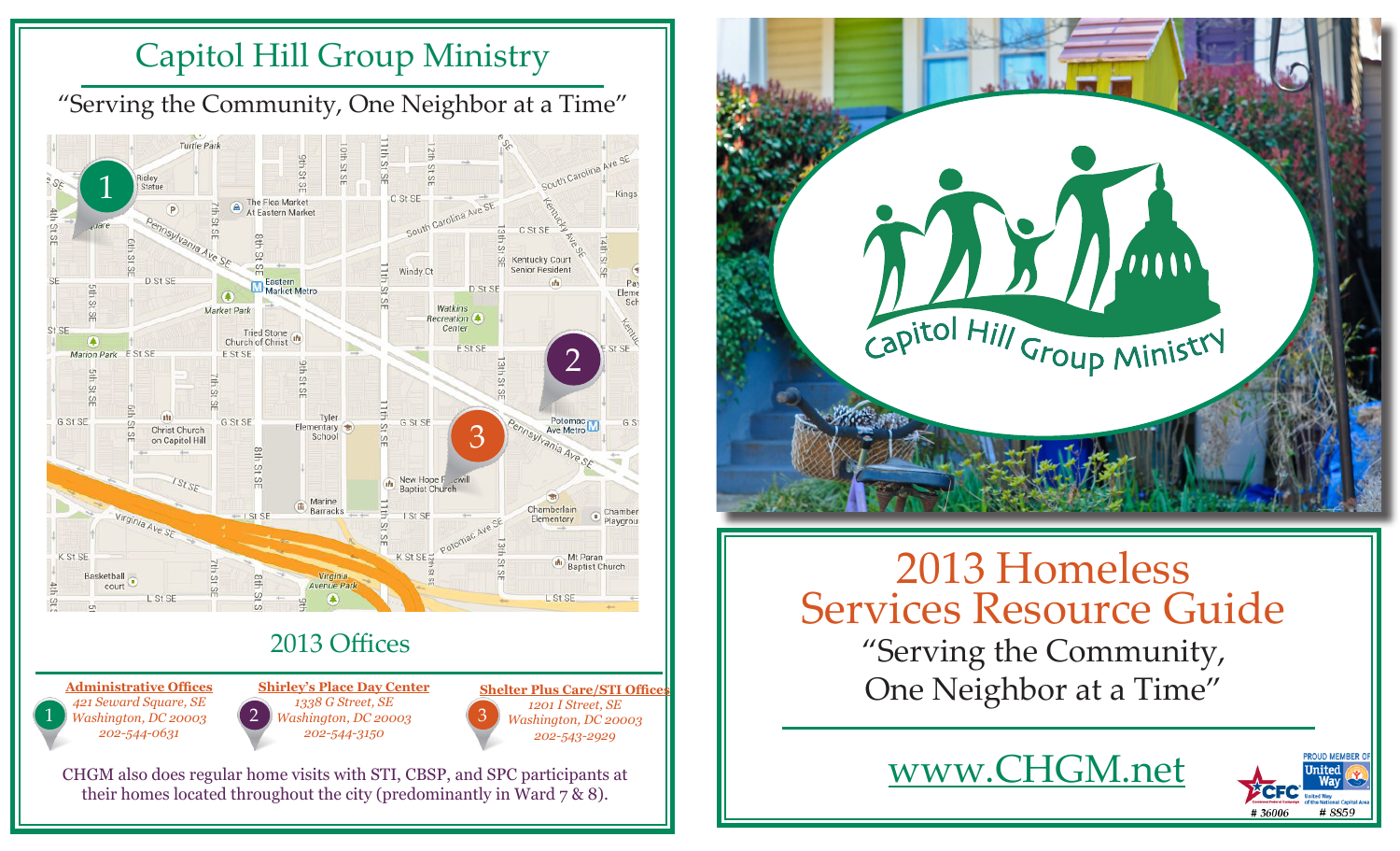# Capitol Hill Group Ministry

"Serving the Community, One Neighbor at a Time"





"Serving the Community, One Neighbor at a Time" 2013 Homeless Services Resource Guide

www.CHGM.net

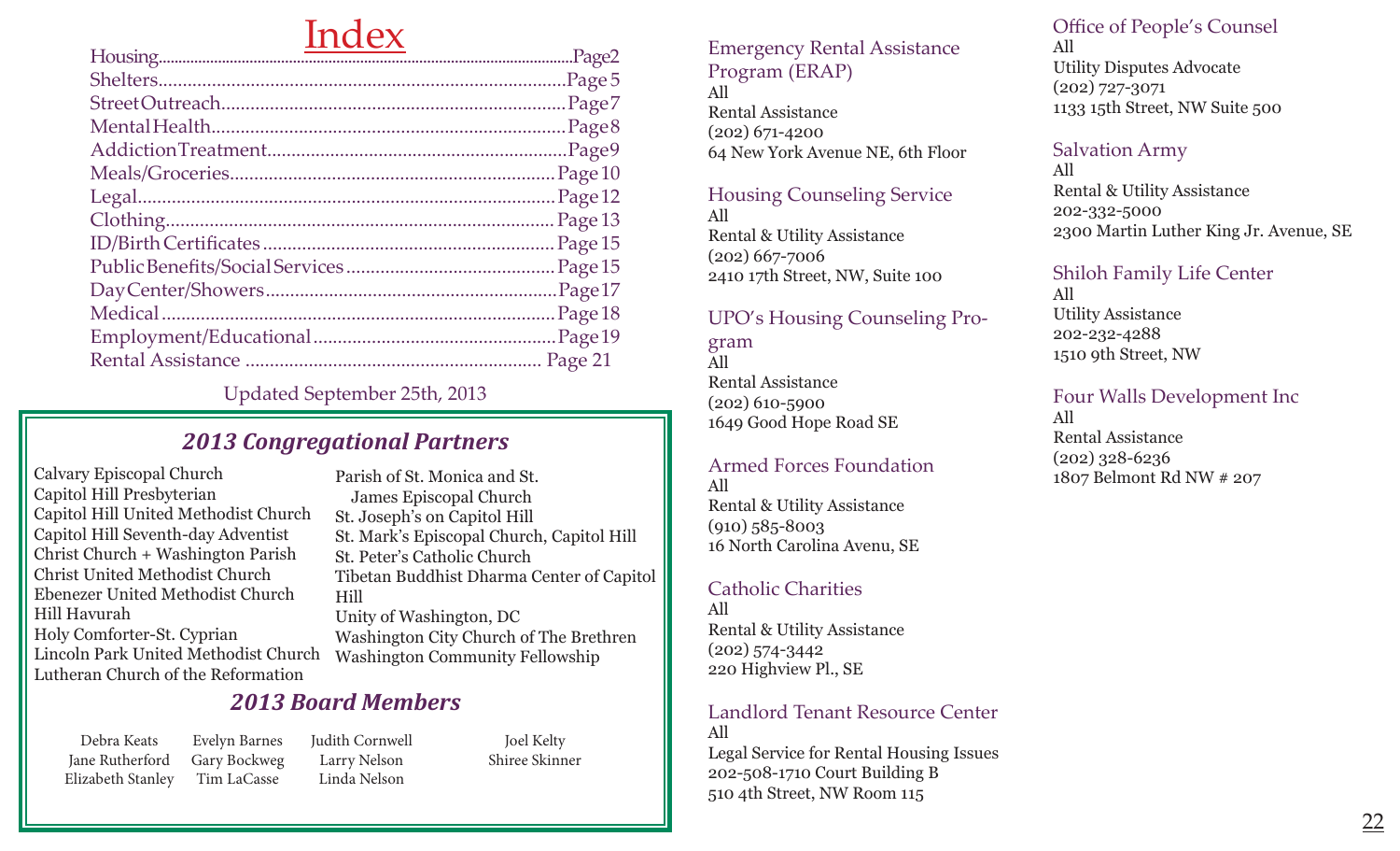# Index

|  | Page 21 |
|--|---------|
|  |         |

Updated September 25th, 2013

## *2013 Congregational Partners*

Calvary Episcopal Church Capitol Hill Presbyterian Capitol Hill United Methodist Church Capitol Hill Seventh-day Adventist Christ Church + Washington Parish Christ United Methodist Church Ebenezer United Methodist Church Hill Havurah Holy Comforter-St. Cyprian Lincoln Park United Methodist Church Lutheran Church of the Reformation

Parish of St. Monica and St. James Episcopal Church St. Joseph's on Capitol Hill St. Mark's Episcopal Church, Capitol Hill St. Peter's Catholic Church Tibetan Buddhist Dharma Center of Capitol Hill Unity of Washington, DC Washington City Church of The Brethren Washington Community Fellowship

## *2013 Board Members*

Debra Keats Jane Rutherford Elizabeth Stanley

Judith Cornwell Larry Nelson Linda Nelson Evelyn Barnes Gary Bockweg Tim LaCasse

Joel Kelty Shiree Skinner

#### Emergency Rental Assistance Program (ERAP) All

Rental Assistance (202) 671-4200 64 New York Avenue NE, 6th Floor

### Housing Counseling Service

All Rental & Utility Assistance (202) 667-7006 2410 17th Street, NW, Suite 100

UPO's Housing Counseling Program All Rental Assistance (202) 610-5900 1649 Good Hope Road SE

Armed Forces Foundation All Rental & Utility Assistance (910) 585-8003 16 North Carolina Avenu, SE

#### Catholic Charities

All Rental & Utility Assistance (202) 574-3442 220 Highview Pl., SE

#### Landlord Tenant Resource Center All

Legal Service for Rental Housing Issues 202-508-1710 Court Building B 510 4th Street, NW Room 115

Office of People's Counsel

All Utility Disputes Advocate (202) 727-3071 1133 15th Street, NW Suite 500

### Salvation Army

All Rental & Utility Assistance 202-332-5000 2300 Martin Luther King Jr. Avenue, SE

#### Shiloh Family Life Center

All Utility Assistance 202-232-4288 1510 9th Street, NW

Four Walls Development Inc All

Rental Assistance (202) 328-6236 1807 Belmont Rd NW # 207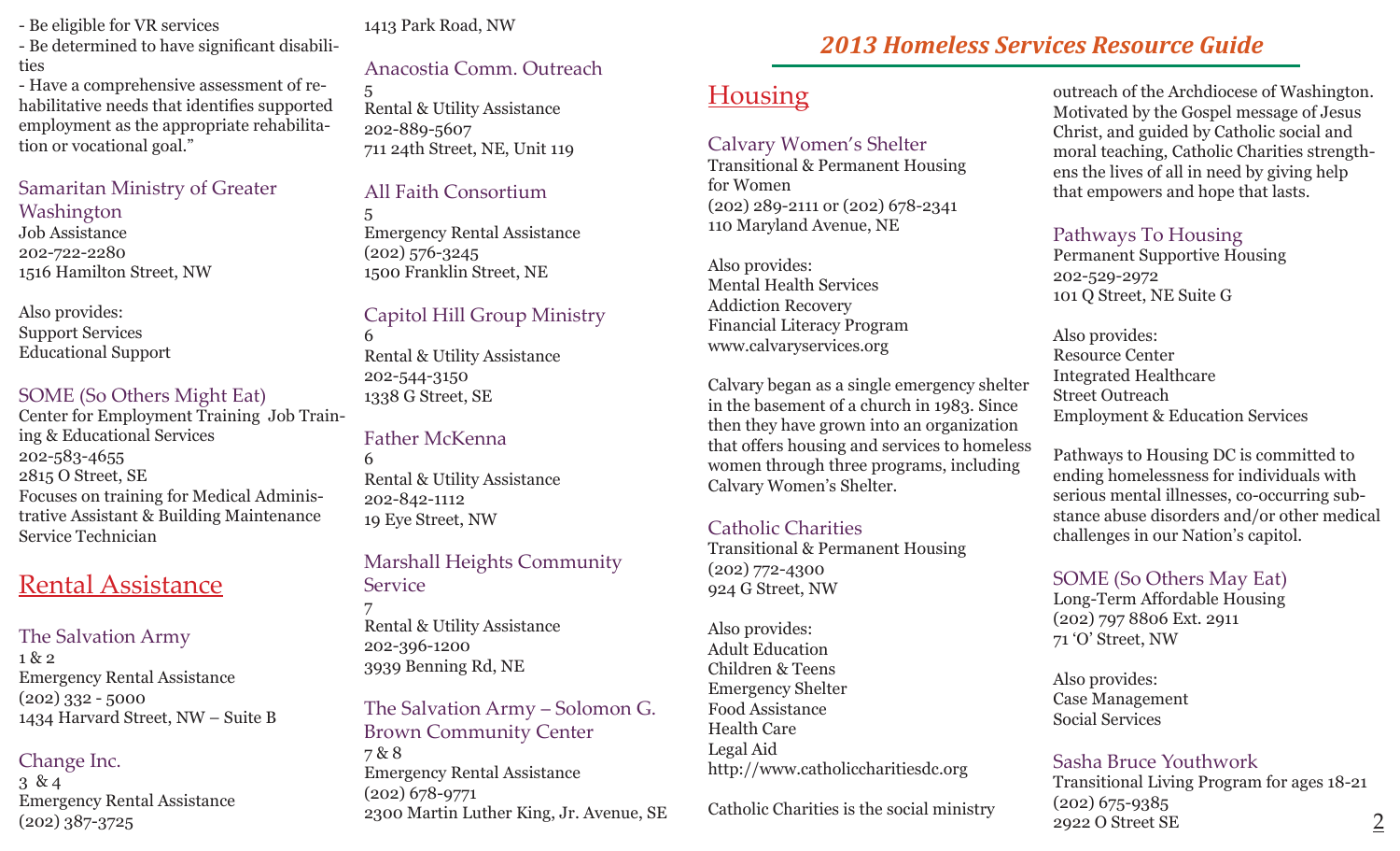- Be eligible for VR services
- Be determined to have significant disabilities

- Have a comprehensive assessment of rehabilitative needs that identifies supported employment as the appropriate rehabilitation or vocational goal."

## Samaritan Ministry of Greater

#### Washington

Job Assistance 202-722-2280 1516 Hamilton Street, NW

Also provides: Support Services Educational Support

### SOME (So Others Might Eat)

Center for Employment Training Job Training & Educational Services 202-583-4655 2815 O Street, SE Focuses on training for Medical Administrative Assistant & Building Maintenance Service Technician

## Rental Assistance

### The Salvation Army

1 & 2 Emergency Rental Assistance  $(202)$  332 - 5000 1434 Harvard Street, NW – Suite B

## Change Inc.

3 & 4 Emergency Rental Assistance (202) 387-3725

## 1413 Park Road, NW

## Anacostia Comm. Outreach

5 Rental & Utility Assistance 202-889-5607 711 24th Street, NE, Unit 119

## All Faith Consortium

5 Emergency Rental Assistance (202) 576-3245 1500 Franklin Street, NE

## Capitol Hill Group Ministry

6 Rental & Utility Assistance 202-544-3150 1338 G Street, SE

## Father McKenna

6 Rental & Utility Assistance 202-842-1112 19 Eye Street, NW

## Marshall Heights Community **Service**

7 Rental & Utility Assistance 202-396-1200 3939 Benning Rd, NE

The Salvation Army – Solomon G. Brown Community Center 7 & 8 Emergency Rental Assistance (202) 678-9771

# *2013 Homeless Services Resource Guide*

# **Housing**

## Calvary Women's Shelter

Transitional & Permanent Housing for Women (202) 289-2111 or (202) 678-2341 110 Maryland Avenue, NE

Also provides: Mental Health Services Addiction Recovery Financial Literacy Program www.calvaryservices.org

Calvary began as a single emergency shelter in the basement of a church in 1983. Since then they have grown into an organization that offers housing and services to homeless women through three programs, including Calvary Women's Shelter.

## Catholic Charities

Transitional & Permanent Housing (202) 772-4300 924 G Street, NW

Also provides: Adult Education Children & Teens Emergency Shelter Food Assistance Health Care Legal Aid http://www.catholiccharitiesdc.org

Catholic Charities is the social ministry

outreach of the Archdiocese of Washington. Motivated by the Gospel message of Jesus Christ, and guided by Catholic social and moral teaching, Catholic Charities strengthens the lives of all in need by giving help that empowers and hope that lasts.

## Pathways To Housing

Permanent Supportive Housing 202-529-2972 101 Q Street, NE Suite G

Also provides: Resource Center Integrated Healthcare Street Outreach Employment & Education Services

Pathways to Housing DC is committed to ending homelessness for individuals with serious mental illnesses, co-occurring substance abuse disorders and/or other medical challenges in our Nation's capitol.

## SOME (So Others May Eat)

Long-Term Affordable Housing (202) 797 8806 Ext. 2911 71 'O' Street, NW

Also provides: Case Management Social Services

## Sasha Bruce Youthwork

Transitional Living Program for ages 18-21 (202) 675-9385 2922 O Street SE 2300 Martin Luther King, Jr. Avenue, SE Catholic Charities is the social ministry  $29220$  Street SE 2922 O Street SE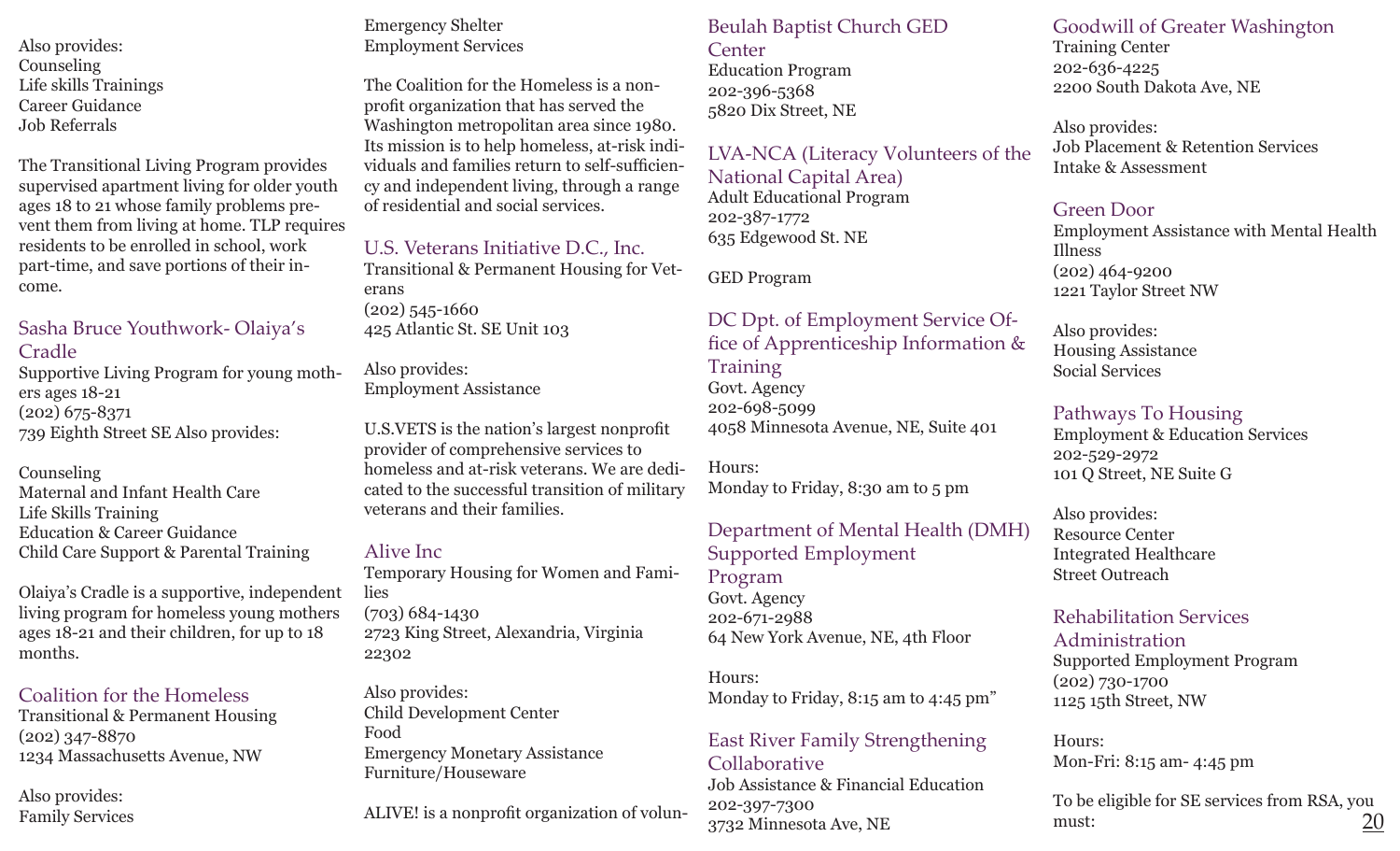Also provides: Counseling Life skills Trainings Career Guidance Job Referrals

The Transitional Living Program provides supervised apartment living for older youth ages 18 to 21 whose family problems prevent them from living at home. TLP requires residents to be enrolled in school, work part-time, and save portions of their income.

### Sasha Bruce Youthwork- Olaiya's Cradle

Supportive Living Program for young mothers ages 18-21 (202) 675-8371 739 Eighth Street SE Also provides:

#### Counseling

Maternal and Infant Health Care Life Skills Training Education & Career Guidance Child Care Support & Parental Training

Olaiya's Cradle is a supportive, independent living program for homeless young mothers ages 18-21 and their children, for up to 18 months.

### Coalition for the Homeless

Transitional & Permanent Housing (202) 347-8870 1234 Massachusetts Avenue, NW

Also provides: Family Services

## Emergency Shelter Employment Services

The Coalition for the Homeless is a nonprofit organization that has served the Washington metropolitan area since 1980. Its mission is to help homeless, at-risk individuals and families return to self-sufficiency and independent living, through a range of residential and social services.

## U.S. Veterans Initiative D.C., Inc.

Transitional & Permanent Housing for Veterans (202) 545-1660 425 Atlantic St. SE Unit 103

#### Also provides: Employment Assistance

U.S.VETS is the nation's largest nonprofit provider of comprehensive services to homeless and at-risk veterans. We are dedicated to the successful transition of military veterans and their families.

#### Alive Inc

Temporary Housing for Women and Families (703) 684-1430 2723 King Street, Alexandria, Virginia 22302

Also provides: Child Development Center Food Emergency Monetary Assistance Furniture/Houseware

ALIVE! is a nonprofit organization of volun-

#### Beulah Baptist Church GED **Center**

Education Program 202-396-5368 5820 Dix Street, NE

### LVA-NCA (Literacy Volunteers of the

National Capital Area) Adult Educational Program 202-387-1772 635 Edgewood St. NE

GED Program

### DC Dpt. of Employment Service Office of Apprenticeship Information & **Training**

Govt. Agency 202-698-5099 4058 Minnesota Avenue, NE, Suite 401

Hours: Monday to Friday, 8:30 am to 5 pm

## Department of Mental Health (DMH)

#### Supported Employment Program

Govt. Agency 202-671-2988 64 New York Avenue, NE, 4th Floor

#### Hours: Monday to Friday, 8:15 am to 4:45 pm"

### East River Family Strengthening Collaborative

Job Assistance & Financial Education 202-397-7300 3732 Minnesota Ave, NE

## Goodwill of Greater Washington Training Center

202-636-4225 2200 South Dakota Ave, NE

Also provides: Job Placement & Retention Services Intake & Assessment

## Green Door

Employment Assistance with Mental Health Illness (202) 464-9200 1221 Taylor Street NW

Also provides: Housing Assistance Social Services

## Pathways To Housing

Employment & Education Services 202-529-2972 101 Q Street, NE Suite G

Also provides: Resource Center Integrated Healthcare Street Outreach

## Rehabilitation Services

Administration Supported Employment Program (202) 730-1700 1125 15th Street, NW

Hours: Mon-Fri: 8:15 am- 4:45 pm

To be eligible for SE services from RSA, you must: 20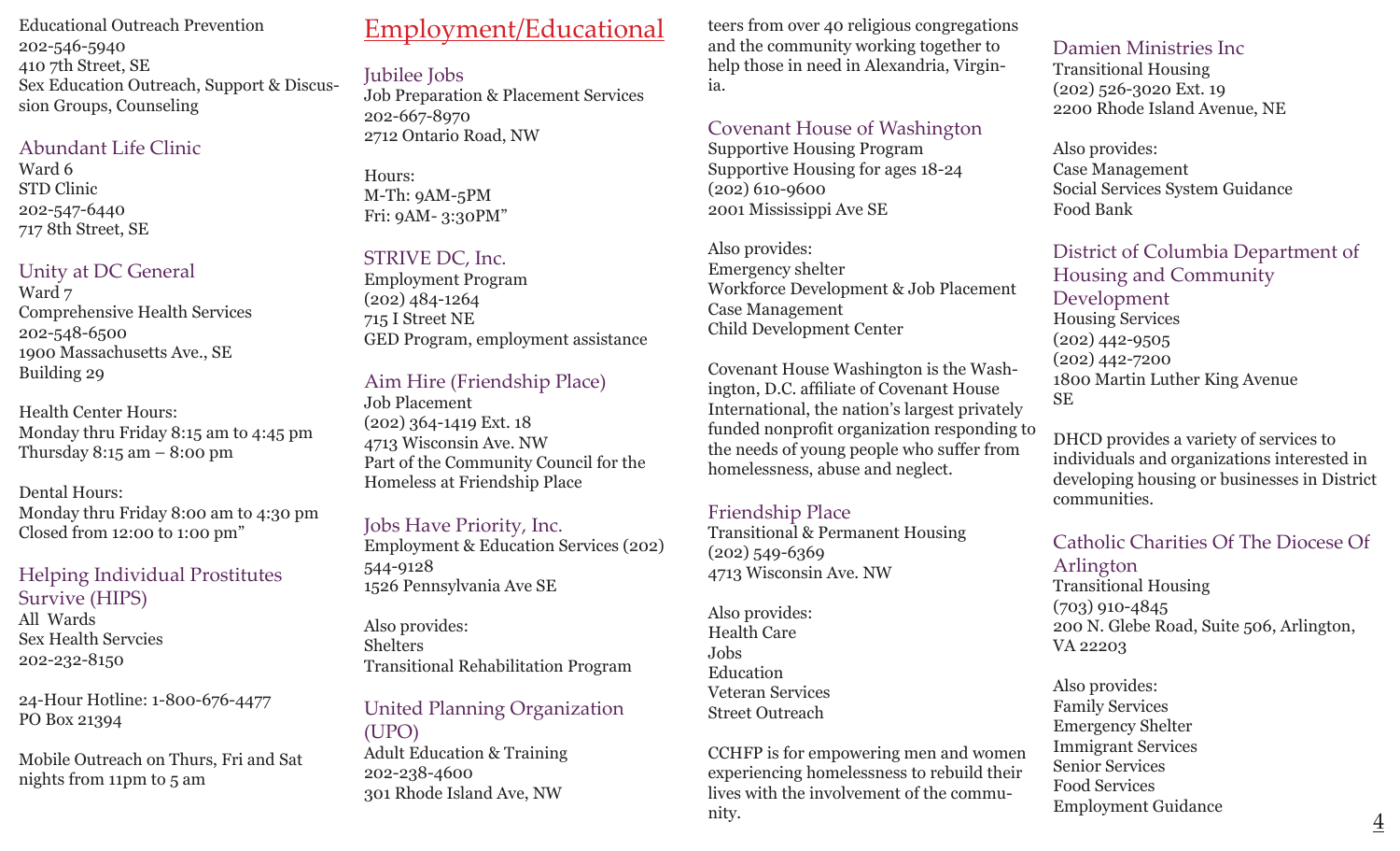Educational Outreach Prevention 202-546-5940 410 7th Street, SE Sex Education Outreach, Support & Discussion Groups, Counseling

#### Abundant Life Clinic

Ward 6 STD Clinic 202-547-6440 717 8th Street, SE

### Unity at DC General

Ward  $7$ Comprehensive Health Services 202-548-6500 1900 Massachusetts Ave., SE Building 29

Health Center Hours: Monday thru Friday 8:15 am to 4:45 pm Thursday  $8:15$  am  $-8:00$  pm

Dental Hours: Monday thru Friday 8:00 am to 4:30 pm Closed from 12:00 to 1:00 pm"

## Helping Individual Prostitutes Survive (HIPS)

All Wards Sex Health Servcies 202-232-8150

24-Hour Hotline: 1-800-676-4477 PO Box 21394

Mobile Outreach on Thurs, Fri and Sat nights from 11pm to 5 am

# Employment/Educational

Jubilee Jobs Job Preparation & Placement Services 202-667-8970 2712 Ontario Road, NW

Hours: M-Th: 9AM-5PM Fri: 9AM- 3:30PM"

## STRIVE DC, Inc.

Employment Program (202) 484-1264 715 I Street NE GED Program, employment assistance

## Aim Hire (Friendship Place)

Job Placement (202) 364-1419 Ext. 18 4713 Wisconsin Ave. NW Part of the Community Council for the Homeless at Friendship Place

### Jobs Have Priority, Inc.

Employment & Education Services (202) 544-9128 1526 Pennsylvania Ave SE

Also provides: Shelters Transitional Rehabilitation Program

## United Planning Organization (UPO)

Adult Education & Training 202-238-4600 301 Rhode Island Ave, NW

teers from over 40 religious congregations and the community working together to help those in need in Alexandria, Virginia.

## Covenant House of Washington

Supportive Housing Program Supportive Housing for ages 18-24 (202) 610-9600 2001 Mississippi Ave SE

Also provides: Emergency shelter Workforce Development & Job Placement Case Management Child Development Center

Covenant House Washington is the Washington, D.C. affiliate of Covenant House International, the nation's largest privately funded nonprofit organization responding to the needs of young people who suffer from homelessness, abuse and neglect.

## Friendship Place

Transitional & Permanent Housing (202) 549-6369 4713 Wisconsin Ave. NW

Also provides: Health Care Jobs Education Veteran Services Street Outreach

CCHFP is for empowering men and women experiencing homelessness to rebuild their lives with the involvement of the community.

Damien Ministries Inc Transitional Housing (202) 526-3020 Ext. 19 2200 Rhode Island Avenue, NE

Also provides: Case Management Social Services System Guidance Food Bank

District of Columbia Department of Housing and Community Development Housing Services (202) 442-9505 (202) 442-7200 1800 Martin Luther King Avenue SE

DHCD provides a variety of services to individuals and organizations interested in developing housing or businesses in District communities.

## Catholic Charities Of The Diocese Of

Arlington Transitional Housing (703) 910-4845 200 N. Glebe Road, Suite 506, Arlington, VA 22203

Also provides: Family Services Emergency Shelter Immigrant Services Senior Services Food Services Employment Guidance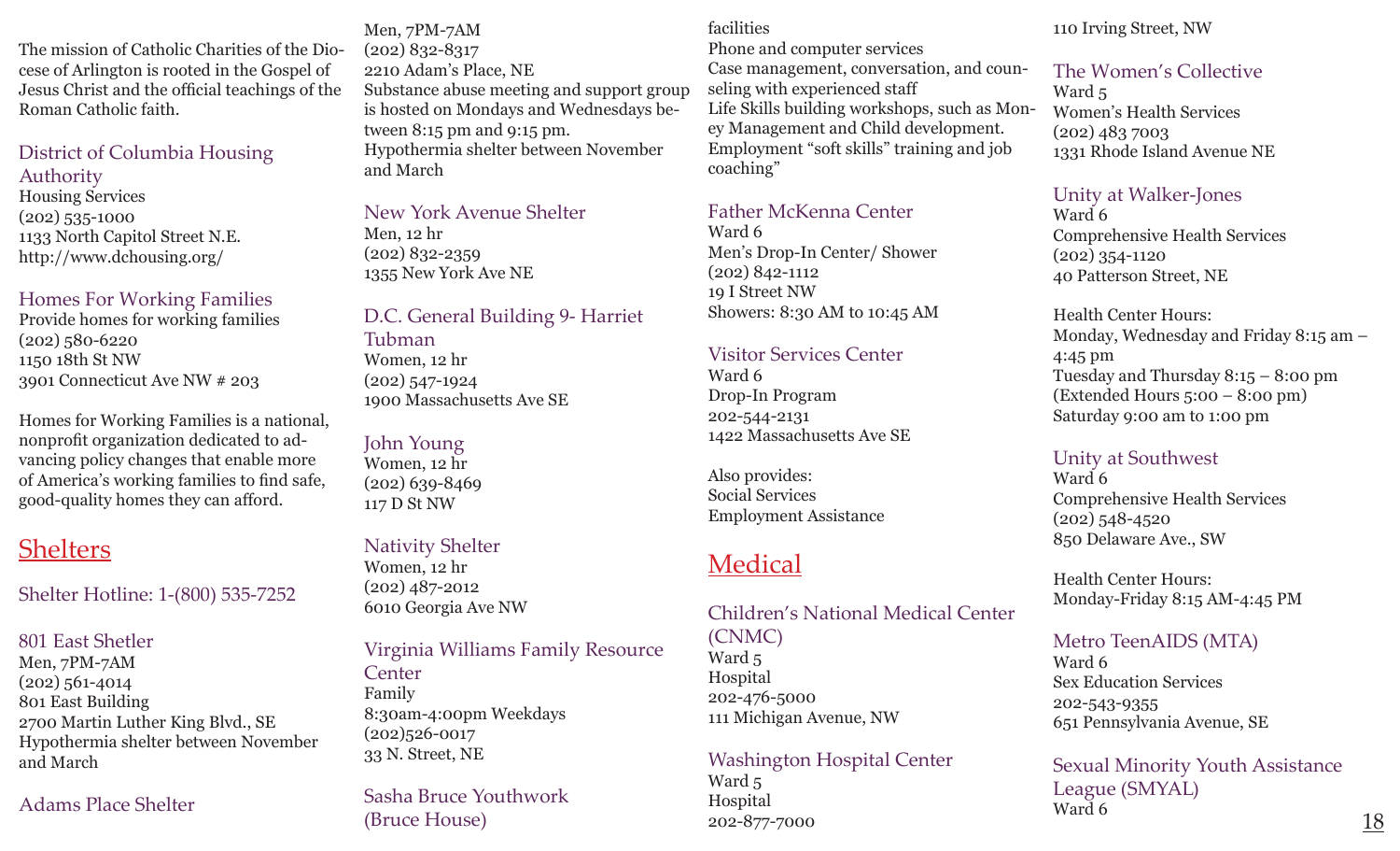The mission of Catholic Charities of the Diocese of Arlington is rooted in the Gospel of Jesus Christ and the official teachings of the Roman Catholic faith.

## District of Columbia Housing

Authority

Housing Services (202) 535-1000 1133 North Capitol Street N.E. http://www.dchousing.org/

## Homes For Working Families

Provide homes for working families (202) 580-6220 1150 18th St NW 3901 Connecticut Ave NW # 203

Homes for Working Families is a national, nonprofit organization dedicated to advancing policy changes that enable more of America's working families to find safe, good-quality homes they can afford.

# **Shelters**

Shelter Hotline: 1-(800) 535-7252

# 801 East Shetler

Men, 7PM-7AM (202) 561-4014 801 East Building 2700 Martin Luther King Blvd., SE Hypothermia shelter between November and March

## Adams Place Shelter

Men, 7PM-7AM (202) 832-8317 2210 Adam's Place, NE Substance abuse meeting and support group is hosted on Mondays and Wednesdays between 8:15 pm and 9:15 pm. Hypothermia shelter between November and March

#### New York Avenue Shelter Men, 12 hr (202) 832-2359 1355 New York Ave NE

## D.C. General Building 9- Harriet

Tubman Women, 12 hr (202) 547-1924 1900 Massachusetts Ave SE

## John Young

Women, 12 hr (202) 639-8469 117 D St NW

## Nativity Shelter

Women, 12 hr (202) 487-2012 6010 Georgia Ave NW

## Virginia Williams Family Resource

**Center** Family 8:30am-4:00pm Weekdays (202)526-0017 33 N. Street, NE

Sasha Bruce Youthwork (Bruce House)

### facilities

Phone and computer services Case management, conversation, and coun-

seling with experienced staff Life Skills building workshops, such as Money Management and Child development. Employment "soft skills" training and job coaching"

## Father McKenna Center

Ward 6 Men's Drop-In Center/ Shower (202) 842-1112 19 I Street NW Showers: 8:30 AM to 10:45 AM

## Visitor Services Center

Ward 6 Drop-In Program 202-544-2131 1422 Massachusetts Ave SE

Also provides: Social Services Employment Assistance

# Medical

## Children's National Medical Center (CNMC)

Ward 5 Hospital 202-476-5000 111 Michigan Avenue, NW

### Washington Hospital Center

Ward 5 Hospital 202-877-7000

### 110 Irving Street, NW

## The Women's Collective

Ward 5 Women's Health Services (202) 483 7003 1331 Rhode Island Avenue NE

## Unity at Walker-Jones

Ward 6 Comprehensive Health Services (202) 354-1120 40 Patterson Street, NE

Health Center Hours: Monday, Wednesday and Friday 8:15 am – 4:45 pm Tuesday and Thursday 8:15 – 8:00 pm (Extended Hours 5:00 – 8:00 pm) Saturday 9:00 am to 1:00 pm

## Unity at Southwest

Ward 6 Comprehensive Health Services (202) 548-4520 850 Delaware Ave., SW

Health Center Hours: Monday-Friday 8:15 AM-4:45 PM

## Metro TeenAIDS (MTA)

Ward 6 Sex Education Services 202-543-9355 651 Pennsylvania Avenue, SE

## Sexual Minority Youth Assistance League (SMYAL) Ward 6  $\overline{18}$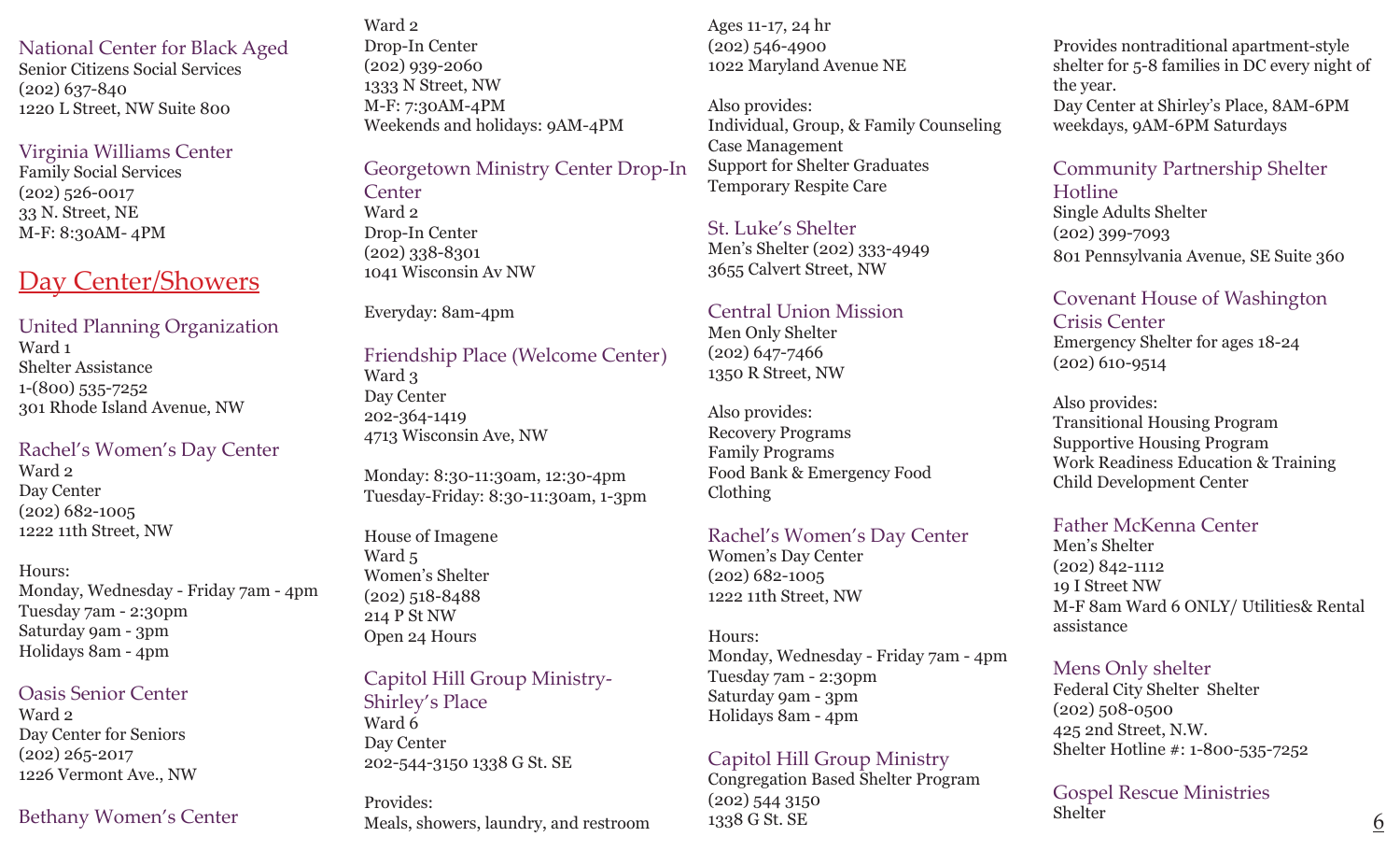National Center for Black Aged Senior Citizens Social Services (202) 637-840 1220 L Street, NW Suite 800

#### Virginia Williams Center

Family Social Services (202) 526-0017 33 N. Street, NE M-F: 8:30AM- 4PM

## Day Center/Showers

## United Planning Organization

Ward 1 Shelter Assistance 1-(800) 535-7252 301 Rhode Island Avenue, NW

## Rachel's Women's Day Center

Ward 2 Day Center (202) 682-1005 1222 11th Street, NW

## Hours:

Monday, Wednesday - Friday 7am - 4pm Tuesday 7am - 2:30pm Saturday 9am - 3pm Holidays 8am - 4pm

### Oasis Senior Center

Ward 2 Day Center for Seniors (202) 265-2017 1226 Vermont Ave., NW

## Bethany Women's Center

Ward 2 Drop-In Center (202) 939-2060 1333 N Street, NW M-F: 7:30AM-4PM Weekends and holidays: 9AM-4PM

Georgetown Ministry Center Drop-In **Center** Ward 2 Drop-In Center (202) 338-8301 1041 Wisconsin Av NW

#### Everyday: 8am-4pm

Friendship Place (Welcome Center) Ward 3 Day Center 202-364-1419 4713 Wisconsin Ave, NW

Monday: 8:30-11:30am, 12:30-4pm Tuesday-Friday: 8:30-11:30am, 1-3pm

House of Imagene Ward 5 Women's Shelter (202) 518-8488 214 P St NW Open 24 Hours

### Capitol Hill Group Ministry-Shirley's Place Ward 6

Day Center 202-544-3150 1338 G St. SE

Provides:

Ages 11-17, 24 hr (202) 546-4900 1022 Maryland Avenue NE

Also provides: Individual, Group, & Family Counseling Case Management Support for Shelter Graduates Temporary Respite Care

St. Luke's Shelter Men's Shelter (202) 333-4949 3655 Calvert Street, NW

#### Central Union Mission

Men Only Shelter (202) 647-7466 1350 R Street, NW

Also provides: Recovery Programs Family Programs Food Bank & Emergency Food Clothing

### Rachel's Women's Day Center

Women's Day Center (202) 682-1005 1222 11th Street, NW

Hours: Monday, Wednesday - Friday 7am - 4pm Tuesday 7am - 2:30pm Saturday 9am - 3pm Holidays 8am - 4pm

### Capitol Hill Group Ministry

Congregation Based Shelter Program (202) 544 3150 1338 G St. SE Meals, showers, laundry, and restroom  $1338 \text{ G St.}$  SE see Section  $\frac{6}{6}$ 

Provides nontraditional apartment-style shelter for 5-8 families in DC every night of the year. Day Center at Shirley's Place, 8AM-6PM

weekdays, 9AM-6PM Saturdays

Community Partnership Shelter Hotline Single Adults Shelter (202) 399-7093 801 Pennsylvania Avenue, SE Suite 360

#### Covenant House of Washington Crisis Center Emergency Shelter for ages 18-24 (202) 610-9514

Also provides: Transitional Housing Program Supportive Housing Program Work Readiness Education & Training Child Development Center

### Father McKenna Center

Men's Shelter (202) 842-1112 19 I Street NW M-F 8am Ward 6 ONLY/ Utilities& Rental assistance

### Mens Only shelter

Federal City Shelter Shelter (202) 508-0500 425 2nd Street, N.W. Shelter Hotline #: 1-800-535-7252

Gospel Rescue Ministries **Shelter**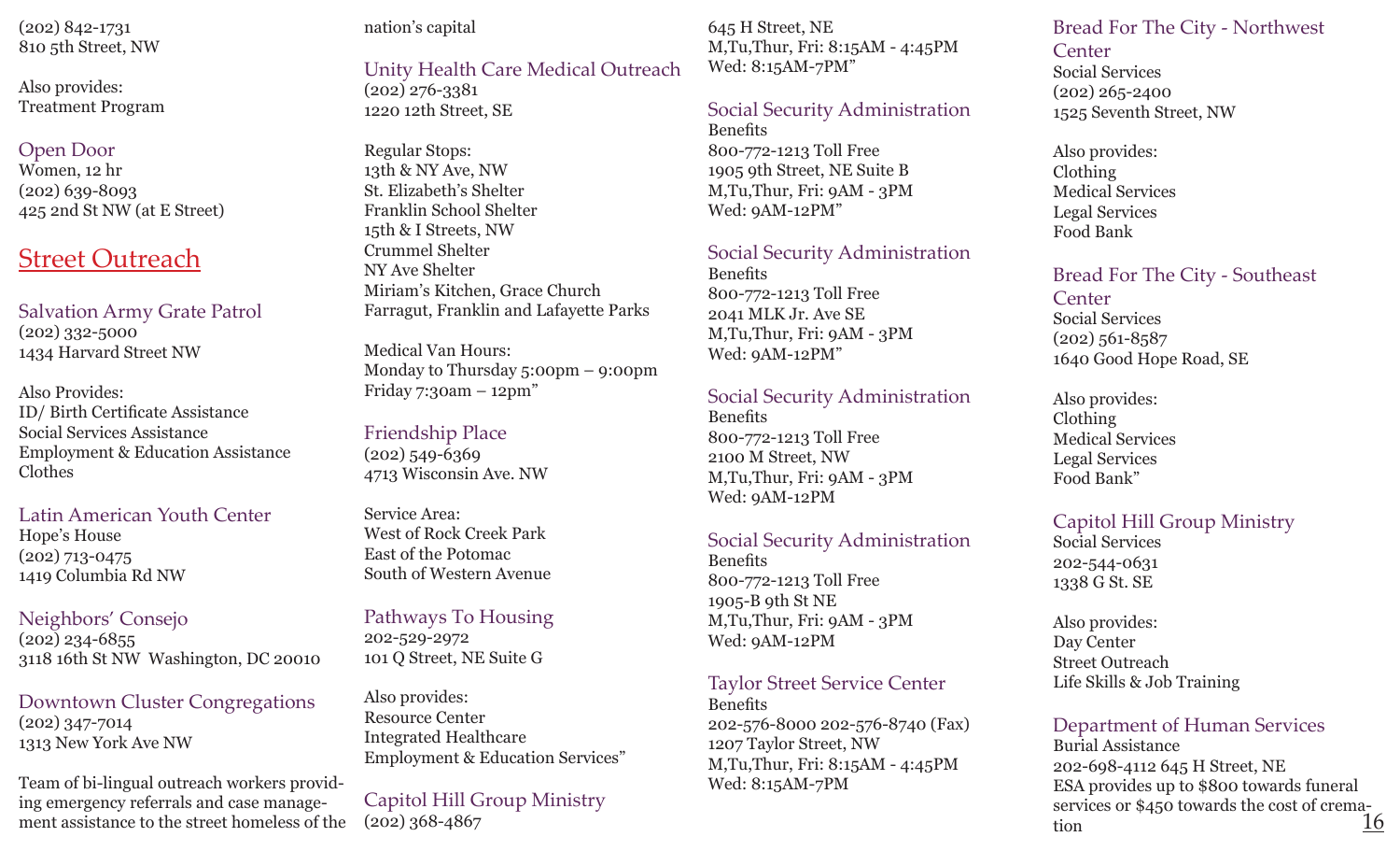(202) 842-1731 810 5th Street, NW

Also provides: Treatment Program

### Open Door

Women, 12 hr (202) 639-8093 425 2nd St NW (at E Street)

## Street Outreach

Salvation Army Grate Patrol (202) 332-5000 1434 Harvard Street NW

Also Provides: ID/ Birth Certificate Assistance Social Services Assistance Employment & Education Assistance Clothes

Latin American Youth Center Hope's House (202) 713-0475 1419 Columbia Rd NW

Neighbors' Consejo  $(202)$  234-6855 3118 16th St NW Washington, DC 20010

Downtown Cluster Congregations (202) 347-7014 1313 New York Ave NW

Team of bi-lingual outreach workers providing emergency referrals and case management assistance to the street homeless of the

#### nation's capital

## Unity Health Care Medical Outreach

(202) 276-3381 1220 12th Street, SE

Regular Stops: 13th & NY Ave, NW St. Elizabeth's Shelter Franklin School Shelter 15th & I Streets, NW Crummel Shelter NY Ave Shelter Miriam's Kitchen, Grace Church Farragut, Franklin and Lafayette Parks

Medical Van Hours: Monday to Thursday 5:00pm – 9:00pm Friday 7:30am – 12pm"

#### Friendship Place  $(202)$  549-6369 4713 Wisconsin Ave. NW

Service Area: West of Rock Creek Park East of the Potomac South of Western Avenue

Pathways To Housing 202-529-2972 101 Q Street, NE Suite G

Also provides: Resource Center Integrated Healthcare Employment & Education Services"

Capitol Hill Group Ministry

645 H Street, NE M,Tu,Thur, Fri: 8:15AM - 4:45PM Wed: 8:15AM-7PM"

#### Social Security Administration

Benefits 800-772-1213 Toll Free 1905 9th Street, NE Suite B M,Tu,Thur, Fri: 9AM - 3PM Wed: 9AM-12PM"

#### Social Security Administration

Benefits 800-772-1213 Toll Free 2041 MLK Jr. Ave SE M,Tu,Thur, Fri: 9AM - 3PM Wed: 9AM-12PM"

#### Social Security Administration

Benefits 800-772-1213 Toll Free 2100 M Street, NW M,Tu,Thur, Fri: 9AM - 3PM Wed: 9AM-12PM

#### Social Security Administration

Benefits 800-772-1213 Toll Free 1905-B 9th St NE M,Tu,Thur, Fri: 9AM - 3PM Wed: 9AM-12PM

#### Taylor Street Service Center

Benefits 202-576-8000 202-576-8740 (Fax) 1207 Taylor Street, NW M,Tu,Thur, Fri: 8:15AM - 4:45PM Wed: 8:15AM-7PM

Bread For The City - Northwest **Center** 

Social Services (202) 265-2400 1525 Seventh Street, NW

Also provides: Clothing Medical Services Legal Services Food Bank

Bread For The City - Southeast

**Center** Social Services (202) 561-8587 1640 Good Hope Road, SE

Also provides: Clothing Medical Services Legal Services Food Bank"

## Capitol Hill Group Ministry

Social Services 202-544-0631 1338 G St. SE

Also provides: Day Center Street Outreach Life Skills & Job Training

## Department of Human Services

Burial Assistance 202-698-4112 645 H Street, NE ESA provides up to \$800 towards funeral services or \$450 towards the cost of crema-<br>tion 16 tion  $(202)$  368-4867 160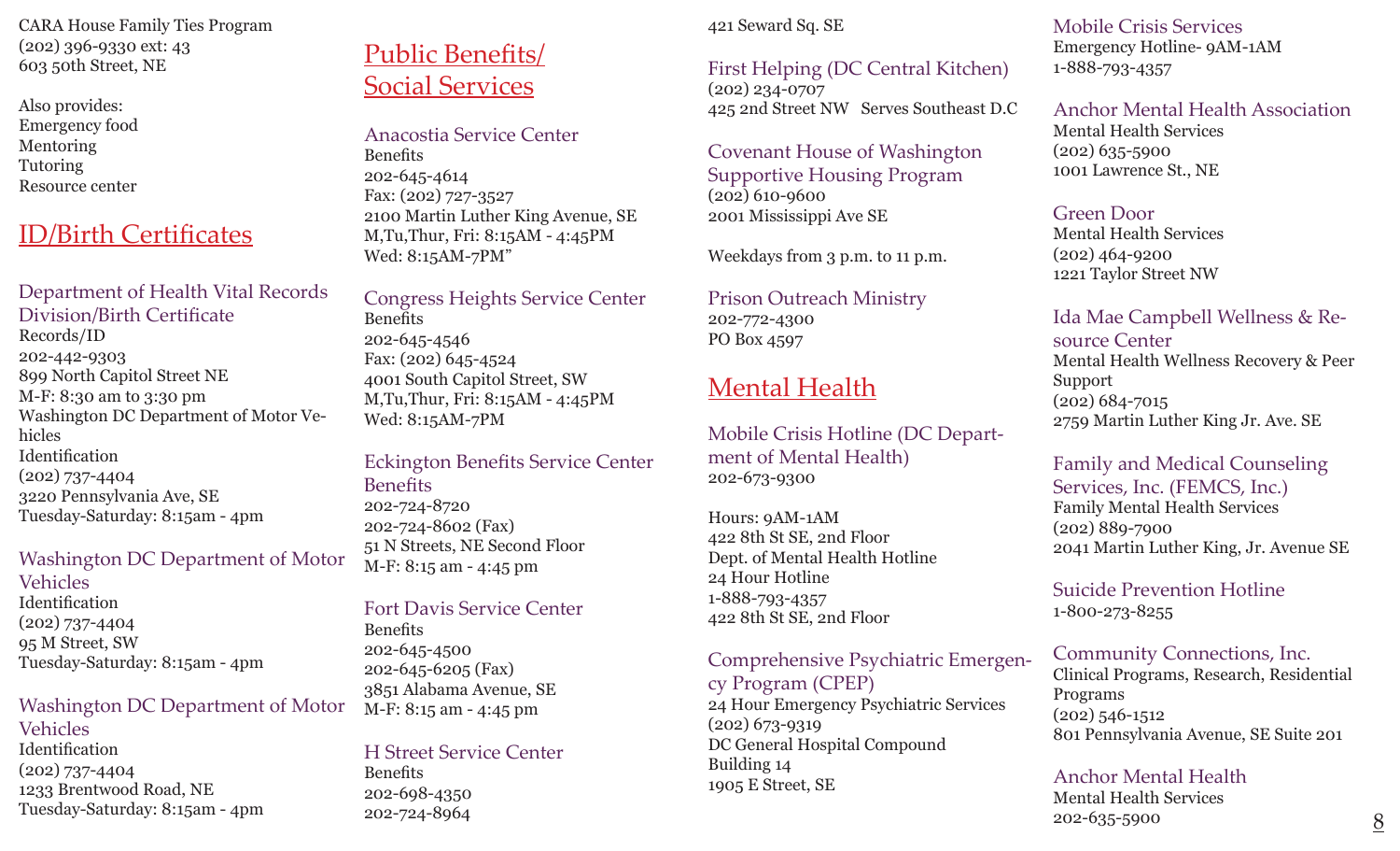CARA House Family Ties Program (202) 396-9330 ext: 43 603 50th Street, NE

Also provides: Emergency food Mentoring Tutoring Resource center

# ID/Birth Certificates

Department of Health Vital Records Division/Birth Certificate Records/ID 202-442-9303 899 North Capitol Street NE M-F: 8:30 am to 3:30 pm Washington DC Department of Motor Vehicles Identification (202) 737-4404 3220 Pennsylvania Ave, SE Tuesday-Saturday: 8:15am - 4pm

### Washington DC Department of Motor

Vehicles Identification (202) 737-4404 95 M Street, SW Tuesday-Saturday: 8:15am - 4pm

#### Washington DC Department of Motor

Vehicles Identification (202) 737-4404 1233 Brentwood Road, NE Tuesday-Saturday: 8:15am - 4pm

# Public Benefits/ Social Services

Anacostia Service Center Benefits 202-645-4614 Fax: (202) 727-3527 2100 Martin Luther King Avenue, SE M,Tu,Thur, Fri: 8:15AM - 4:45PM Wed: 8:15AM-7PM"

Congress Heights Service Center Benefits 202-645-4546 Fax: (202) 645-4524 4001 South Capitol Street, SW M,Tu,Thur, Fri: 8:15AM - 4:45PM Wed: 8:15AM-7PM

### Eckington Benefits Service Center **Benefits** 202-724-8720 202-724-8602 (Fax) 51 N Streets, NE Second Floor M-F: 8:15 am - 4:45 pm

Fort Davis Service Center **Benefits** 202-645-4500 202-645-6205 (Fax) 3851 Alabama Avenue, SE M-F: 8:15 am - 4:45 pm

# H Street Service Center

**Benefits** 202-698-4350 202-724-8964

## 421 Seward Sq. SE

### First Helping (DC Central Kitchen) (202) 234-0707 425 2nd Street NW Serves Southeast D.C

### Covenant House of Washington Supportive Housing Program (202) 610-9600 2001 Mississippi Ave SE

Weekdays from 3 p.m. to 11 p.m.

Prison Outreach Ministry 202-772-4300 PO Box 4597

# Mental Health

Mobile Crisis Hotline (DC Department of Mental Health) 202-673-9300

Hours: 9AM-1AM 422 8th St SE, 2nd Floor Dept. of Mental Health Hotline 24 Hour Hotline 1-888-793-4357 422 8th St SE, 2nd Floor

Comprehensive Psychiatric Emergen-

cy Program (CPEP) 24 Hour Emergency Psychiatric Services (202) 673-9319 DC General Hospital Compound Building 14 1905 E Street, SE

Mobile Crisis Services Emergency Hotline- 9AM-1AM 1-888-793-4357

Anchor Mental Health Association Mental Health Services (202) 635-5900 1001 Lawrence St., NE

#### Green Door

Mental Health Services (202) 464-9200 1221 Taylor Street NW

# Ida Mae Campbell Wellness & Re-

source Center Mental Health Wellness Recovery & Peer Support (202) 684-7015 2759 Martin Luther King Jr. Ave. SE

#### Family and Medical Counseling Services, Inc. (FEMCS, Inc.) Family Mental Health Services (202) 889-7900 2041 Martin Luther King, Jr. Avenue SE

Suicide Prevention Hotline 1-800-273-8255

## Community Connections, Inc.

Clinical Programs, Research, Residential Programs (202) 546-1512 801 Pennsylvania Avenue, SE Suite 201

## Anchor Mental Health

Mental Health Services 202-635-5900 8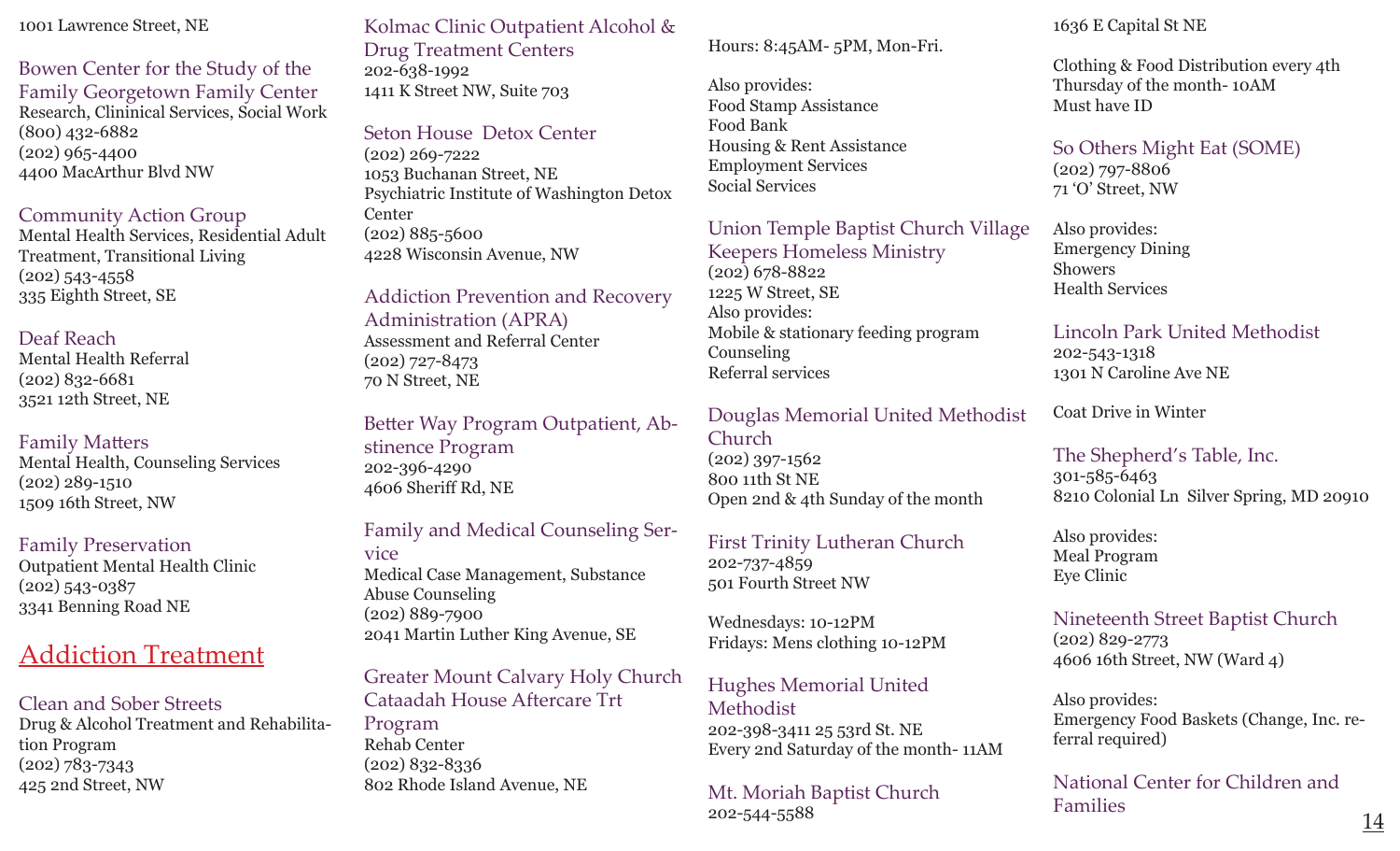#### 1001 Lawrence Street, NE

Bowen Center for the Study of the Family Georgetown Family Center Research, Clininical Services, Social Work (800) 432-6882 (202) 965-4400 4400 MacArthur Blvd NW

#### Community Action Group

Mental Health Services, Residential Adult Treatment, Transitional Living (202) 543-4558 335 Eighth Street, SE

#### Deaf Reach

Mental Health Referral (202) 832-6681 3521 12th Street, NE

#### Family Matters

Mental Health, Counseling Services (202) 289-1510 1509 16th Street, NW

#### Family Preservation

Outpatient Mental Health Clinic (202) 543-0387 3341 Benning Road NE

## Addiction Treatment

Clean and Sober Streets Drug & Alcohol Treatment and Rehabilitation Program (202) 783-7343 425 2nd Street, NW

## Kolmac Clinic Outpatient Alcohol &

Drug Treatment Centers 202-638-1992 1411 K Street NW, Suite 703

#### Seton House Detox Center

(202) 269-7222 1053 Buchanan Street, NE Psychiatric Institute of Washington Detox **Center** (202) 885-5600 4228 Wisconsin Avenue, NW

Addiction Prevention and Recovery Administration (APRA) Assessment and Referral Center (202) 727-8473 70 N Street, NE

Better Way Program Outpatient, Abstinence Program 202-396-4290 4606 Sheriff Rd, NE

### Family and Medical Counseling Ser-

vice Medical Case Management, Substance Abuse Counseling (202) 889-7900 2041 Martin Luther King Avenue, SE

## Greater Mount Calvary Holy Church Cataadah House Aftercare Trt

Program Rehab Center (202) 832-8336 802 Rhode Island Avenue, NE

#### Hours: 8:45AM- 5PM, Mon-Fri.

Also provides: Food Stamp Assistance Food Bank Housing & Rent Assistance Employment Services Social Services

#### Union Temple Baptist Church Village

Keepers Homeless Ministry (202) 678-8822 1225 W Street, SE Also provides: Mobile & stationary feeding program Counseling Referral services

#### Douglas Memorial United Methodist

Church (202) 397-1562 800 11th St NE Open 2nd & 4th Sunday of the month

#### First Trinity Lutheran Church 202-737-4859 501 Fourth Street NW

Wednesdays: 10-12PM Fridays: Mens clothing 10-12PM

## Hughes Memorial United

Methodist 202-398-3411 25 53rd St. NE Every 2nd Saturday of the month- 11AM

Mt. Moriah Baptist Church 202-544-5588

#### 1636 E Capital St NE

Clothing & Food Distribution every 4th Thursday of the month- 10AM Must have ID

#### So Others Might Eat (SOME) (202) 797-8806 71 'O' Street, NW

Also provides: Emergency Dining Showers Health Services

#### Lincoln Park United Methodist 202-543-1318

1301 N Caroline Ave NE

Coat Drive in Winter

#### The Shepherd's Table, Inc. 301-585-6463 8210 Colonial Ln Silver Spring, MD 20910

Also provides: Meal Program Eye Clinic

#### Nineteenth Street Baptist Church (202) 829-2773 4606 16th Street, NW (Ward 4)

Also provides: Emergency Food Baskets (Change, Inc. referral required)

National Center for Children and Families

14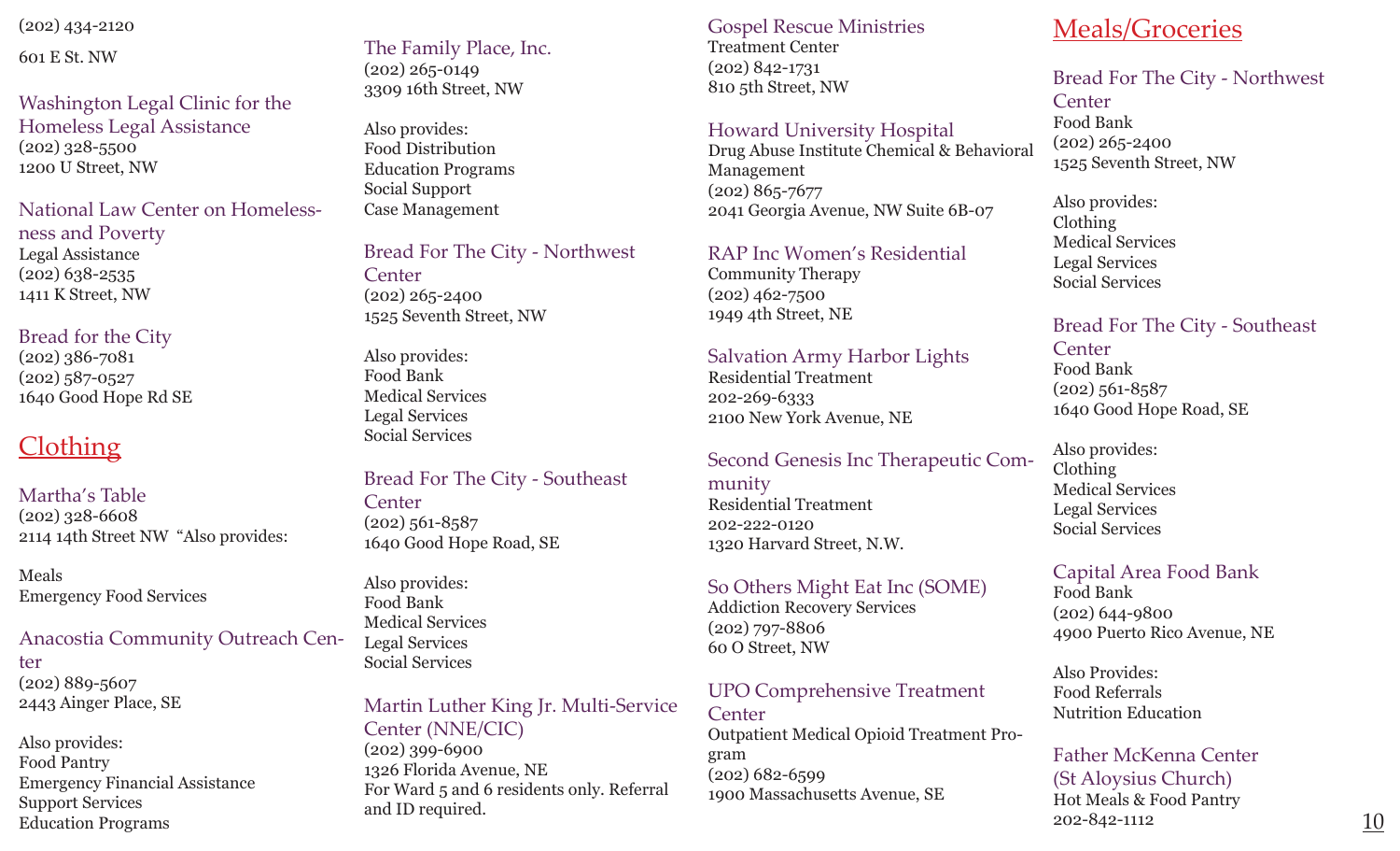(202) 434-2120

601 E St. NW

Washington Legal Clinic for the Homeless Legal Assistance (202) 328-5500 1200 U Street, NW

National Law Center on Homelessness and Poverty Legal Assistance (202) 638-2535 1411 K Street, NW

### Bread for the City

(202) 386-7081 (202) 587-0527 1640 Good Hope Rd SE

## Clothing

Martha's Table (202) 328-6608 2114 14th Street NW "Also provides:

Meals Emergency Food Services

#### Anacostia Community Outreach Center (202) 889-5607 2443 Ainger Place, SE

Also provides: Food Pantry Emergency Financial Assistance Support Services Education Programs

The Family Place, Inc. (202) 265-0149 3309 16th Street, NW

Also provides: Food Distribution Education Programs Social Support Case Management

Bread For The City - Northwest **Center** (202) 265-2400 1525 Seventh Street, NW

Also provides: Food Bank Medical Services Legal Services Social Services

#### Bread For The City - Southeast **Center**

(202) 561-8587 1640 Good Hope Road, SE

Also provides: Food Bank Medical Services Legal Services Social Services

### Martin Luther King Jr. Multi-Service Center (NNE/CIC) (202) 399-6900

1326 Florida Avenue, NE For Ward 5 and 6 residents only. Referral Gospel Rescue Ministries Treatment Center (202) 842-1731 810 5th Street, NW

#### Howard University Hospital

Drug Abuse Institute Chemical & Behavioral Management (202) 865-7677 2041 Georgia Avenue, NW Suite 6B-07

#### RAP Inc Women's Residential

Community Therapy (202) 462-7500 1949 4th Street, NE

### Salvation Army Harbor Lights

Residential Treatment 202-269-6333 2100 New York Avenue, NE

### Second Genesis Inc Therapeutic Com-

munity Residential Treatment 202-222-0120 1320 Harvard Street, N.W.

#### So Others Might Eat Inc (SOME)

Addiction Recovery Services (202) 797-8806 60 O Street, NW

#### UPO Comprehensive Treatment **Center**

Outpatient Medical Opioid Treatment Program (202) 682-6599 1900 Massachusetts Avenue, SE

## Meals/Groceries

## Bread For The City - Northwest

**Center** Food Bank (202) 265-2400 1525 Seventh Street, NW

Also provides: Clothing Medical Services Legal Services Social Services

### Bread For The City - Southeast

**Center** Food Bank (202) 561-8587 1640 Good Hope Road, SE

Also provides: Clothing Medical Services Legal Services Social Services

## Capital Area Food Bank

Food Bank (202) 644-9800 4900 Puerto Rico Avenue, NE

Also Provides: Food Referrals Nutrition Education

#### Father McKenna Center (St Aloysius Church) Hot Meals & Food Pantry 202-842-1112 and ID required.  $\frac{10}{202-842-1112}$